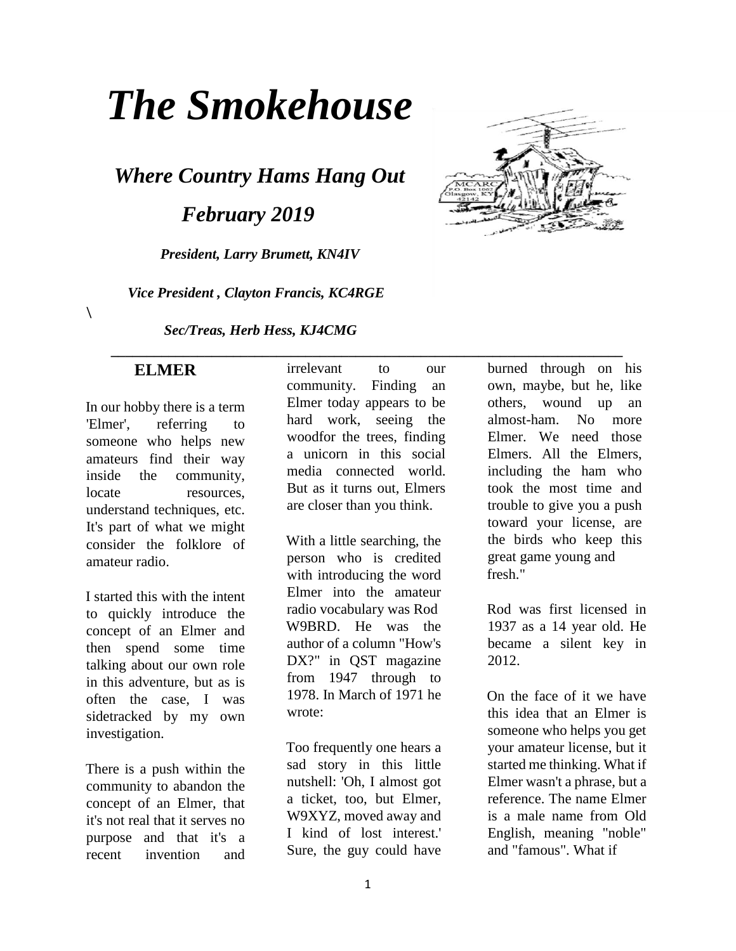# *The Smokehouse*

*Where Country Hams Hang Out* 

*February 2019* 

*President, Larry Brumett, KN4IV* 

 *Vice President , Clayton Francis, KC4RGE* 

*Sec/Treas, Herb Hess, KJ4CMG* 



 **\_\_\_\_\_\_\_\_\_\_\_\_\_\_\_\_\_\_\_\_\_\_\_\_\_\_\_\_\_\_\_\_\_\_\_\_\_\_\_\_\_\_\_\_\_\_\_\_\_\_\_\_\_\_\_\_\_\_\_\_\_\_\_\_\_\_\_\_\_\_\_ ELMER** 

 $\lambda$ 

In our hobby there is a term 'Elmer', referring to someone who helps new amateurs find their way inside the community, locate resources, understand techniques, etc. It's part of what we might consider the folklore of amateur radio.

I started this with the intent to quickly introduce the concept of an Elmer and then spend some time talking about our own role in this adventure, but as is often the case, I was sidetracked by my own investigation.

There is a push within the community to abandon the concept of an Elmer, that it's not real that it serves no purpose and that it's a recent invention and

irrelevant to our community. Finding an Elmer today appears to be hard work, seeing the woodfor the trees, finding a unicorn in this social media connected world. But as it turns out, Elmers are closer than you think.

With a little searching, the person who is credited with introducing the word Elmer into the amateur radio vocabulary was Rod W9BRD. He was the author of a column "How's DX?" in QST magazine from 1947 through to 1978. In March of 1971 he wrote:

Too frequently one hears a sad story in this little nutshell: 'Oh, I almost got a ticket, too, but Elmer, W9XYZ, moved away and I kind of lost interest.' Sure, the guy could have burned through on his own, maybe, but he, like others, wound up an almost-ham. No more Elmer. We need those Elmers. All the Elmers, including the ham who took the most time and trouble to give you a push toward your license, are the birds who keep this great game young and fresh."

Rod was first licensed in 1937 as a 14 year old. He became a silent key in 2012.

On the face of it we have this idea that an Elmer is someone who helps you get your amateur license, but it started me thinking. What if Elmer wasn't a phrase, but a reference. The name Elmer is a male name from Old English, meaning "noble" and "famous". What if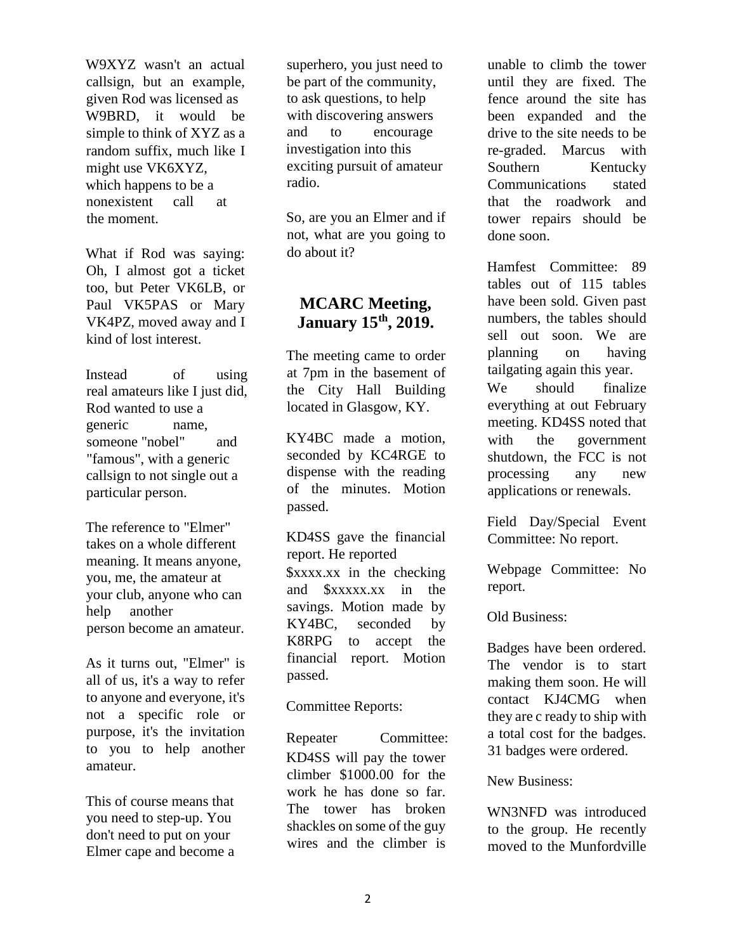W9XYZ wasn't an actual callsign, but an example, given Rod was licensed as W9BRD, it would be simple to think of XYZ as a random suffix, much like I might use VK6XYZ, which happens to be a nonexistent call at the moment.

What if Rod was saying: Oh, I almost got a ticket too, but Peter VK6LB, or Paul VK5PAS or Mary VK4PZ, moved away and I kind of lost interest.

Instead of using real amateurs like I just did, Rod wanted to use a generic name, someone "nobel" and "famous", with a generic callsign to not single out a particular person.

The reference to "Elmer" takes on a whole different meaning. It means anyone, you, me, the amateur at your club, anyone who can help another person become an amateur.

As it turns out, "Elmer" is all of us, it's a way to refer to anyone and everyone, it's not a specific role or purpose, it's the invitation to you to help another amateur.

This of course means that you need to step-up. You don't need to put on your Elmer cape and become a

superhero, you just need to be part of the community, to ask questions, to help with discovering answers and to encourage investigation into this exciting pursuit of amateur radio.

So, are you an Elmer and if not, what are you going to do about it?

## **MCARC Meeting, January 15th, 2019.**

The meeting came to order at 7pm in the basement of the City Hall Building located in Glasgow, KY.

KY4BC made a motion, seconded by KC4RGE to dispense with the reading of the minutes. Motion passed.

### KD4SS gave the financial report. He reported

\$xxxx.xx in the checking and \$xxxxx.xx in the savings. Motion made by KY4BC, seconded by K8RPG to accept the financial report. Motion passed.

Committee Reports:

Repeater Committee: KD4SS will pay the tower climber \$1000.00 for the work he has done so far. The tower has broken shackles on some of the guy wires and the climber is

unable to climb the tower until they are fixed. The fence around the site has been expanded and the drive to the site needs to be re-graded. Marcus with Southern Kentucky Communications stated that the roadwork and tower repairs should be done soon.

Hamfest Committee: 89 tables out of 115 tables have been sold. Given past numbers, the tables should sell out soon. We are planning on having tailgating again this year. We should finalize everything at out February meeting. KD4SS noted that with the government shutdown, the FCC is not processing any new applications or renewals.

Field Day/Special Event Committee: No report.

Webpage Committee: No report.

Old Business:

Badges have been ordered. The vendor is to start making them soon. He will contact KJ4CMG when they are c ready to ship with a total cost for the badges. 31 badges were ordered.

New Business:

WN3NFD was introduced to the group. He recently moved to the Munfordville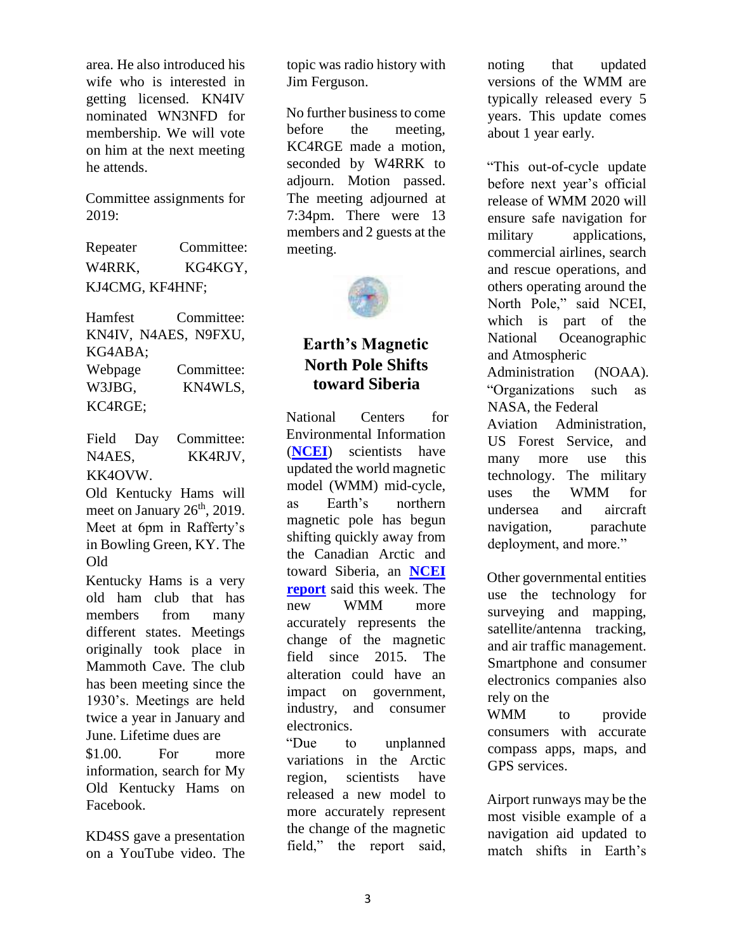area. He also introduced his wife who is interested in getting licensed. KN4IV nominated WN3NFD for membership. We will vote on him at the next meeting he attends.

Committee assignments for 2019:

Repeater Committee: W4RRK, KG4KGY, KJ4CMG, KF4HNF;

Hamfest Committee: KN4IV, N4AES, N9FXU, KG4ABA; Webpage Committee: W3JBG, KC4RGE; KN4WLS,

Field Day Committee: N4AES, KK4OVW. KK4RJV,

Old Kentucky Hams will meet on January  $26<sup>th</sup>$ , 2019. Meet at 6pm in Rafferty's in Bowling Green, KY. The Old

Kentucky Hams is a very old ham club that has members from many different states. Meetings originally took place in Mammoth Cave. The club has been meeting since the 1930's. Meetings are held twice a year in January and June. Lifetime dues are \$1.00. For more information, search for My Old Kentucky Hams on Facebook.

KD4SS gave a presentation on a YouTube video. The

topic was radio history with Jim Ferguson.

No further business to come before the meeting, KC4RGE made a motion, seconded by W4RRK to adjourn. Motion passed. The meeting adjourned at 7:34pm. There were 13 members and 2 guests at the meeting.



## **Earth's Magnetic North Pole Shifts toward Siberia**

National Centers for Environmental Information (**NCEI**) scientists have updated the world magnetic model (WMM) mid-cycle, as Earth's northern magnetic pole has begun shifting quickly away from the Canadian Arctic and toward Siberia, an **NCEI report** said this week. The new WMM more accurately represents the change of the magnetic field since 2015. The alteration could have an impact on government, industry, and consumer electronics.

"Due to unplanned variations in the Arctic region, scientists have released a new model to more accurately represent the change of the magnetic field," the report said,

noting that updated versions of the WMM are typically released every 5 years. This update comes about 1 year early.

"This out-of-cycle update before next year's official release of WMM 2020 will ensure safe navigation for military applications, commercial airlines, search and rescue operations, and others operating around the North Pole," said NCEI, which is part of the National Oceanographic and Atmospheric Administration (NOAA). "Organizations such as NASA, the Federal Aviation Administration, US Forest Service, and many more use this technology. The military uses the WMM for undersea and aircraft navigation, parachute deployment, and more."

Other governmental entities use the technology for surveying and mapping, satellite/antenna tracking, and air traffic management. Smartphone and consumer electronics companies also rely on the

WMM to provide consumers with accurate compass apps, maps, and GPS services.

Airport runways may be the most visible example of a navigation aid updated to match shifts in Earth's